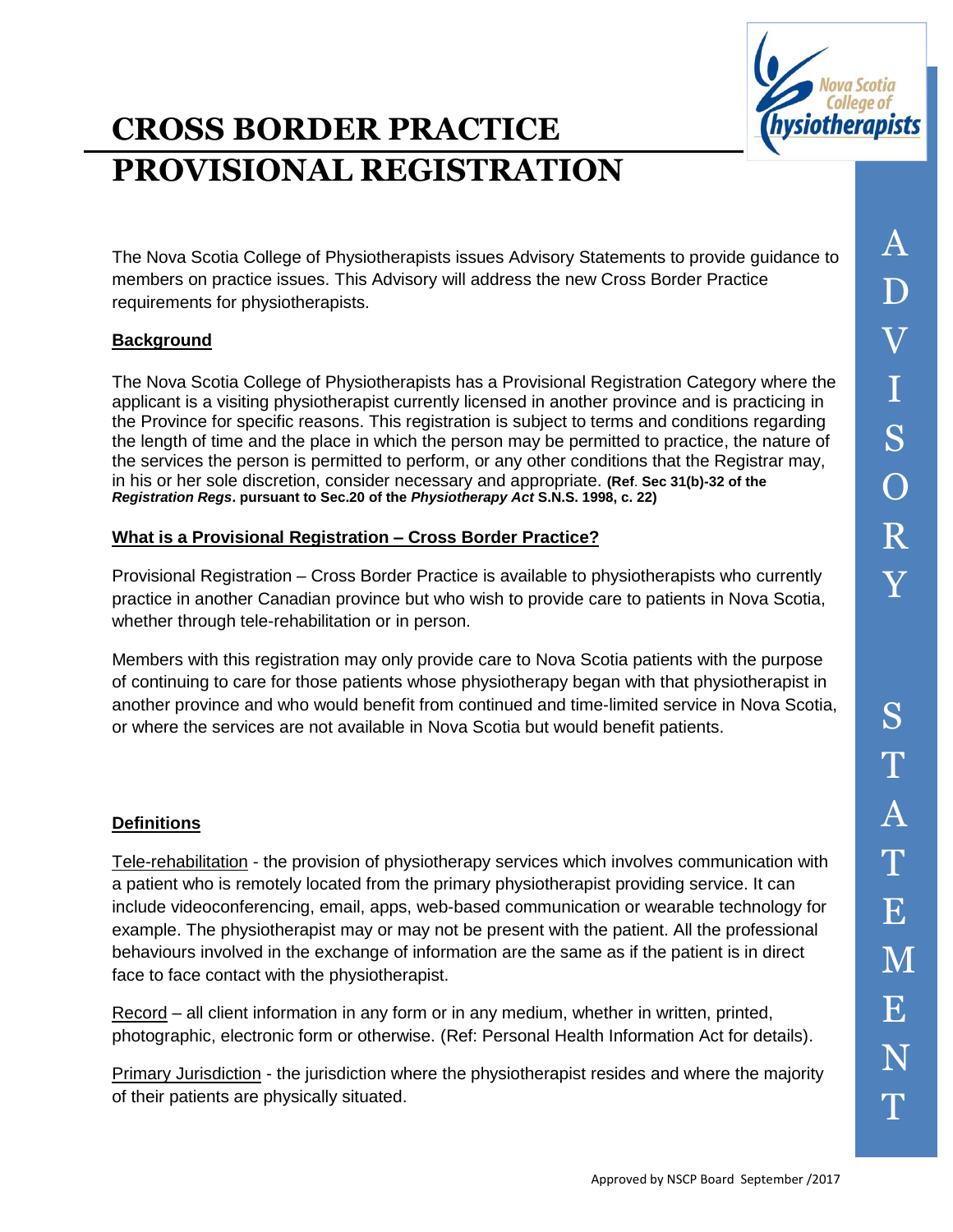

# **CROSS BORDER PRACTICE PROVISIONAL REGISTRATION**

The Nova Scotia College of Physiotherapists issues Advisory Statements to provide guidance to members on practice issues. This Advisory will address the new Cross Border Practice requirements for physiotherapists.

## **Background**

The Nova Scotia College of Physiotherapists has a Provisional Registration Category where the applicant is a visiting physiotherapist currently licensed in another province and is practicing in the Province for specific reasons. This registration is subject to terms and conditions regarding the length of time and the place in which the person may be permitted to practice, the nature of the services the person is permitted to perform, or any other conditions that the Registrar may, in his or her sole discretion, consider necessary and appropriate. **(Ref**. **Sec 31(b)-32 of the**  *Registration Regs***. pursuant to Sec.20 of the** *Physiotherapy Act* **S.N.S. 1998, c. 22)**

### **What is a Provisional Registration – Cross Border Practice?**

Provisional Registration – Cross Border Practice is available to physiotherapists who currently practice in another Canadian province but who wish to provide care to patients in Nova Scotia, whether through tele-rehabilitation or in person.

Members with this registration may only provide care to Nova Scotia patients with the purpose of continuing to care for those patients whose physiotherapy began with that physiotherapist in another province and who would benefit from continued and time-limited service in Nova Scotia, or where the services are not available in Nova Scotia but would benefit patients.

### **Definitions**

Tele-rehabilitation - the provision of physiotherapy services which involves communication with a patient who is remotely located from the primary physiotherapist providing service. It can include videoconferencing, email, apps, web-based communication or wearable technology for example. The physiotherapist may or may not be present with the patient. All the professional behaviours involved in the exchange of information are the same as if the patient is in direct face to face contact with the physiotherapist.

Record – all client information in any form or in any medium, whether in written, printed, photographic, electronic form or otherwise. (Ref: Personal Health Information Act for details).

Primary Jurisdiction - the jurisdiction where the physiotherapist resides and where the majority of their patients are physically situated.